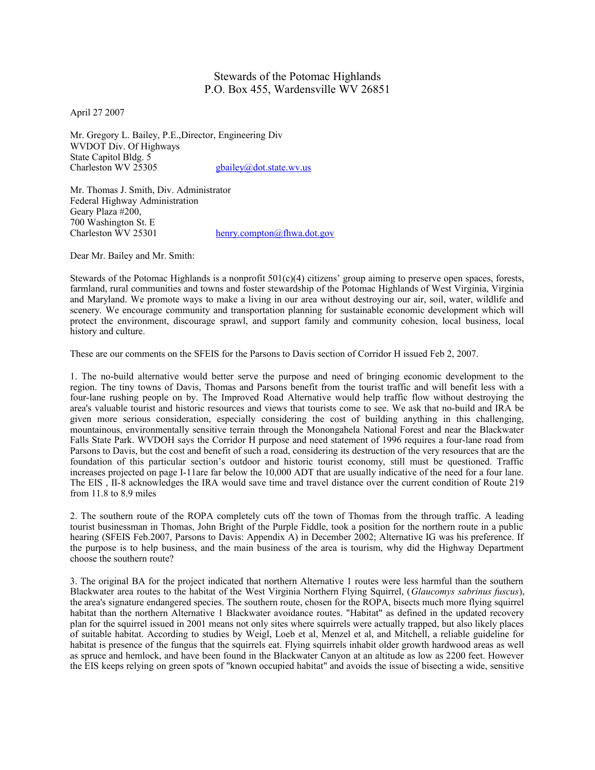## Stewards of the Potomac Highlands P.O. Box 455, Wardensville WV 26851

April 27 2007

Mr. Gregory L. Bailey, P.E.,Director, Engineering Div WVDOT Div. Of Highways State Capitol Bldg. 5<br>Charleston WV 25305 [gbailey@dot.state.wv.us](mailto:gbailey@dot.state.wv.us)

Mr. Thomas J. Smith, Div. Administrator Federal Highway Administration Geary Plaza #200, 700 Washington St. E<br>Charleston WV 25301

[henry.compton@fhwa.dot.gov](mailto:henry.compton@fhwa.dot.gov)

Dear Mr. Bailey and Mr. Smith:

Stewards of the Potomac Highlands is a nonprofit  $501(c)(4)$  citizens' group aiming to preserve open spaces, forests, farmland, rural communities and towns and foster stewardship of the Potomac Highlands of West Virginia, Virginia and Maryland. We promote ways to make a living in our area without destroying our air, soil, water, wildlife and scenery. We encourage community and transportation planning for sustainable economic development which will protect the environment, discourage sprawl, and support family and community cohesion, local business, local history and culture.

These are our comments on the SFEIS for the Parsons to Davis section of Corridor H issued Feb 2, 2007.

1. The no-build alternative would better serve the purpose and need of bringing economic development to the region. The tiny towns of Davis, Thomas and Parsons benefit from the tourist traffic and will benefit less with a four-lane rushing people on by. The Improved Road Alternative would help traffic flow without destroying the area's valuable tourist and historic resources and views that tourists come to see. We ask that no-build and IRA be given more serious consideration, especially considering the cost of building anything in this challenging, mountainous, environmentally sensitive terrain through the Monongahela National Forest and near the Blackwater Falls State Park. WVDOH says the Corridor H purpose and need statement of 1996 requires a four-lane road from Parsons to Davis, but the cost and benefit of such a road, considering its destruction of the very resources that are the foundation of this particular section's outdoor and historic tourist economy, still must be questioned. Traffic increases projected on page I-11are far below the 10,000 ADT that are usually indicative of the need for a four lane. The EIS , II-8 acknowledges the IRA would save time and travel distance over the current condition of Route 219 from 11.8 to 8.9 miles

2. The southern route of the ROPA completely cuts off the town of Thomas from the through traffic. A leading tourist businessman in Thomas, John Bright of the Purple Fiddle, took a position for the northern route in a public hearing (SFEIS Feb.2007, Parsons to Davis: Appendix A) in December 2002; Alternative IG was his preference. If the purpose is to help business, and the main business of the area is tourism, why did the Highway Department choose the southern route?

3. The original BA for the project indicated that northern Alternative 1 routes were less harmful than the southern Blackwater area routes to the habitat of the West Virginia Northern Flying Squirrel, (*Glaucomys sabrinus fuscus*), the area's signature endangered species. The southern route, chosen for the ROPA, bisects much more flying squirrel habitat than the northern Alternative 1 Blackwater avoidance routes. "Habitat" as defined in the updated recovery plan for the squirrel issued in 2001 means not only sites where squirrels were actually trapped, but also likely places of suitable habitat. According to studies by Weigl, Loeb et al, Menzel et al, and Mitchell, a reliable guideline for habitat is presence of the fungus that the squirrels eat. Flying squirrels inhabit older growth hardwood areas as well as spruce and hemlock, and have been found in the Blackwater Canyon at an altitude as low as 2200 feet. However the EIS keeps relying on green spots of "known occupied habitat" and avoids the issue of bisecting a wide, sensitive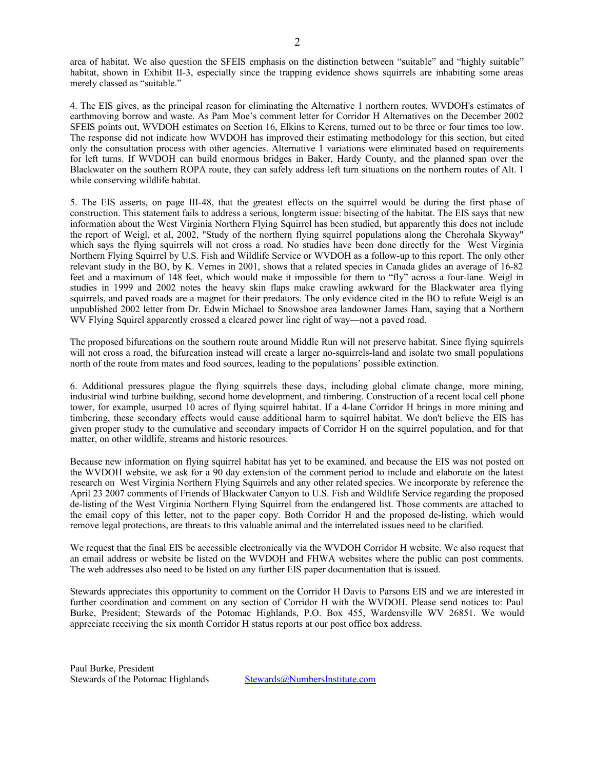area of habitat. We also question the SFEIS emphasis on the distinction between "suitable" and "highly suitable" habitat, shown in Exhibit II-3, especially since the trapping evidence shows squirrels are inhabiting some areas merely classed as "suitable."

4. The EIS gives, as the principal reason for eliminating the Alternative 1 northern routes, WVDOH's estimates of earthmoving borrow and waste. As Pam Moe's comment letter for Corridor H Alternatives on the December 2002 SFEIS points out, WVDOH estimates on Section 16, Elkins to Kerens, turned out to be three or four times too low. The response did not indicate how WVDOH has improved their estimating methodology for this section, but cited only the consultation process with other agencies. Alternative 1 variations were eliminated based on requirements for left turns. If WVDOH can build enormous bridges in Baker, Hardy County, and the planned span over the Blackwater on the southern ROPA route, they can safely address left turn situations on the northern routes of Alt. 1 while conserving wildlife habitat.

5. The EIS asserts, on page III-48, that the greatest effects on the squirrel would be during the first phase of construction. This statement fails to address a serious, longterm issue: bisecting of the habitat. The EIS says that new information about the West Virginia Northern Flying Squirrel has been studied, but apparently this does not include the report of Weigl, et al, 2002, "Study of the northern flying squirrel populations along the Cherohala Skyway" which says the flying squirrels will not cross a road. No studies have been done directly for the West Virginia Northern Flying Squirrel by U.S. Fish and Wildlife Service or WVDOH as a follow-up to this report. The only other relevant study in the BO, by K. Vernes in 2001, shows that a related species in Canada glides an average of 16-82 feet and a maximum of 148 feet, which would make it impossible for them to "fly" across a four-lane. Weigl in studies in 1999 and 2002 notes the heavy skin flaps make crawling awkward for the Blackwater area flying squirrels, and paved roads are a magnet for their predators. The only evidence cited in the BO to refute Weigl is an unpublished 2002 letter from Dr. Edwin Michael to Snowshoe area landowner James Ham, saying that a Northern WV Flying Squirel apparently crossed a cleared power line right of way—not a paved road.

The proposed bifurcations on the southern route around Middle Run will not preserve habitat. Since flying squirrels will not cross a road, the bifurcation instead will create a larger no-squirrels-land and isolate two small populations north of the route from mates and food sources, leading to the populations' possible extinction.

6. Additional pressures plague the flying squirrels these days, including global climate change, more mining, industrial wind turbine building, second home development, and timbering. Construction of a recent local cell phone tower, for example, usurped 10 acres of flying squirrel habitat. If a 4-lane Corridor H brings in more mining and timbering, these secondary effects would cause additional harm to squirrel habitat. We don't believe the EIS has given proper study to the cumulative and secondary impacts of Corridor H on the squirrel population, and for that matter, on other wildlife, streams and historic resources.

Because new information on flying squirrel habitat has yet to be examined, and because the EIS was not posted on the WVDOH website, we ask for a 90 day extension of the comment period to include and elaborate on the latest research on West Virginia Northern Flying Squirrels and any other related species. We incorporate by reference the April 23 2007 comments of Friends of Blackwater Canyon to U.S. Fish and Wildlife Service regarding the proposed de-listing of the West Virginia Northern Flying Squirrel from the endangered list. Those comments are attached to the email copy of this letter, not to the paper copy. Both Corridor H and the proposed de-listing, which would remove legal protections, are threats to this valuable animal and the interrelated issues need to be clarified.

We request that the final EIS be accessible electronically via the WVDOH Corridor H website. We also request that an email address or website be listed on the WVDOH and FHWA websites where the public can post comments. The web addresses also need to be listed on any further EIS paper documentation that is issued.

Stewards appreciates this opportunity to comment on the Corridor H Davis to Parsons EIS and we are interested in further coordination and comment on any section of Corridor H with the WVDOH. Please send notices to: Paul Burke, President; Stewards of the Potomac Highlands, P.O. Box 455, Wardensville WV 26851. We would appreciate receiving the six month Corridor H status reports at our post office box address.

Paul Burke, President Stewards of the Potomac Highlands [Stewards@NumbersInstitute.com](mailto:Stewards@NumbersInstitute.com)